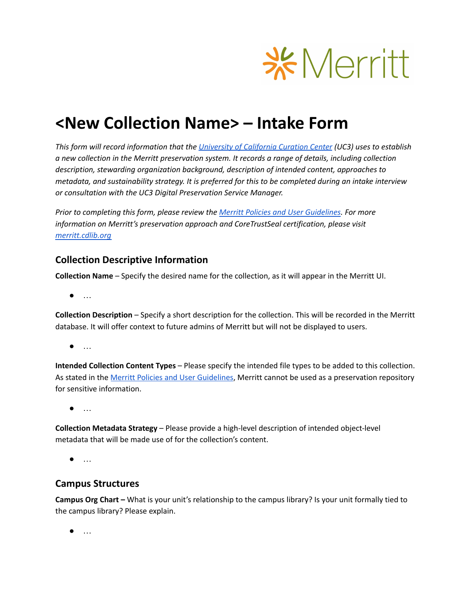

# **<New Collection Name> – Intake Form**

*This form will record information that the [University](http://uc3.cdlib.org/who/) of California Curation Center (UC3) uses to establish a new collection in the Merritt preservation system. It records a range of details, including collection description, stewarding organization background, description of intended content, approaches to metadata, and sustainability strategy. It is preferred for this to be completed during an intake interview or consultation with the UC3 Digital Preservation Service Manager.*

*Prior to completing this form, please review the Merritt Policies and User [Guidelines](https://cdlib.org/services/uc3/merritt/merritt-policies-and-procedures/). For more information on Merritt's preservation approach and CoreTrustSeal certification, please visit [merritt.cdlib.org](https://merritt.cdlib.org/)*

### **Collection Descriptive Information**

**Collection Name** – Specify the desired name for the collection, as it will appear in the Merritt UI.

● …

**Collection Description** – Specify a short description for the collection. This will be recorded in the Merritt database. It will offer context to future admins of Merritt but will not be displayed to users.

● …

**Intended Collection Content Types** – Please specify the intended file types to be added to this collection. As stated in the Merritt Policies and User [Guidelines](https://cdlib.org/services/uc3/merritt/merritt-policies-and-procedures/), Merritt cannot be used as a preservation repository for sensitive information.

● …

**Collection Metadata Strategy** – Please provide a high-level description of intended object-level metadata that will be made use of for the collection's content.

● …

#### **Campus Structures**

**Campus Org Chart –** What is your unit's relationship to the campus library? Is your unit formally tied to the campus library? Please explain.

● …